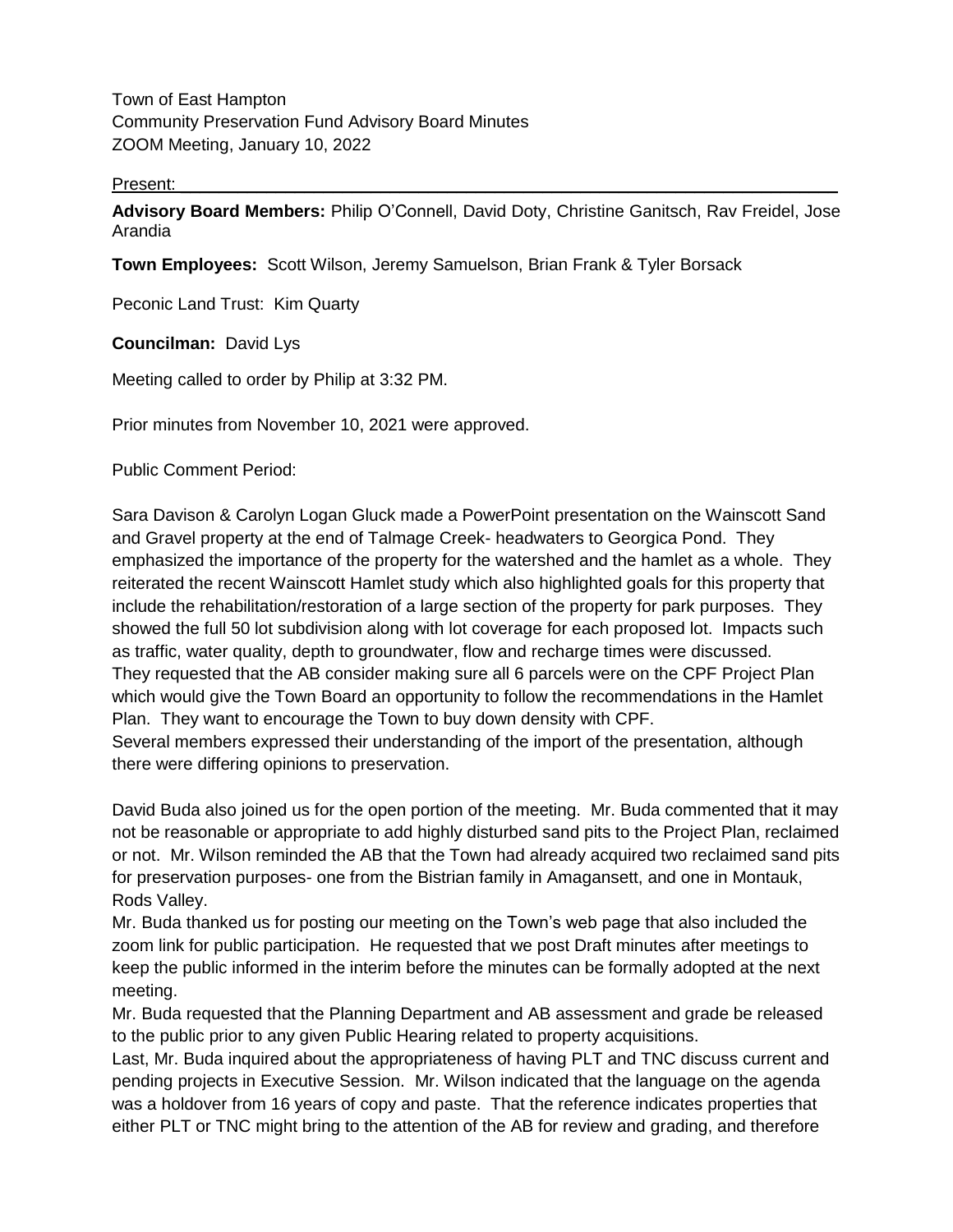Town of East Hampton Community Preservation Fund Advisory Board Minutes ZOOM Meeting, January 10, 2022

## Present: \_\_\_\_\_\_\_\_\_\_\_\_\_\_\_\_\_\_\_\_\_\_\_\_\_\_\_\_\_\_\_\_\_\_\_\_\_\_\_\_\_\_\_\_\_\_\_\_\_\_\_\_\_\_\_\_\_\_\_\_\_\_\_\_\_\_\_\_\_

**Advisory Board Members:** Philip O'Connell, David Doty, Christine Ganitsch, Rav Freidel, Jose Arandia

**Town Employees:** Scott Wilson, Jeremy Samuelson, Brian Frank & Tyler Borsack

Peconic Land Trust: Kim Quarty

**Councilman:** David Lys

Meeting called to order by Philip at 3:32 PM.

Prior minutes from November 10, 2021 were approved.

Public Comment Period:

Sara Davison & Carolyn Logan Gluck made a PowerPoint presentation on the Wainscott Sand and Gravel property at the end of Talmage Creek- headwaters to Georgica Pond. They emphasized the importance of the property for the watershed and the hamlet as a whole. They reiterated the recent Wainscott Hamlet study which also highlighted goals for this property that include the rehabilitation/restoration of a large section of the property for park purposes. They showed the full 50 lot subdivision along with lot coverage for each proposed lot. Impacts such as traffic, water quality, depth to groundwater, flow and recharge times were discussed. They requested that the AB consider making sure all 6 parcels were on the CPF Project Plan which would give the Town Board an opportunity to follow the recommendations in the Hamlet Plan. They want to encourage the Town to buy down density with CPF.

Several members expressed their understanding of the import of the presentation, although there were differing opinions to preservation.

David Buda also joined us for the open portion of the meeting. Mr. Buda commented that it may not be reasonable or appropriate to add highly disturbed sand pits to the Project Plan, reclaimed or not. Mr. Wilson reminded the AB that the Town had already acquired two reclaimed sand pits for preservation purposes- one from the Bistrian family in Amagansett, and one in Montauk, Rods Valley.

Mr. Buda thanked us for posting our meeting on the Town's web page that also included the zoom link for public participation. He requested that we post Draft minutes after meetings to keep the public informed in the interim before the minutes can be formally adopted at the next meeting.

Mr. Buda requested that the Planning Department and AB assessment and grade be released to the public prior to any given Public Hearing related to property acquisitions.

Last, Mr. Buda inquired about the appropriateness of having PLT and TNC discuss current and pending projects in Executive Session. Mr. Wilson indicated that the language on the agenda was a holdover from 16 years of copy and paste. That the reference indicates properties that either PLT or TNC might bring to the attention of the AB for review and grading, and therefore